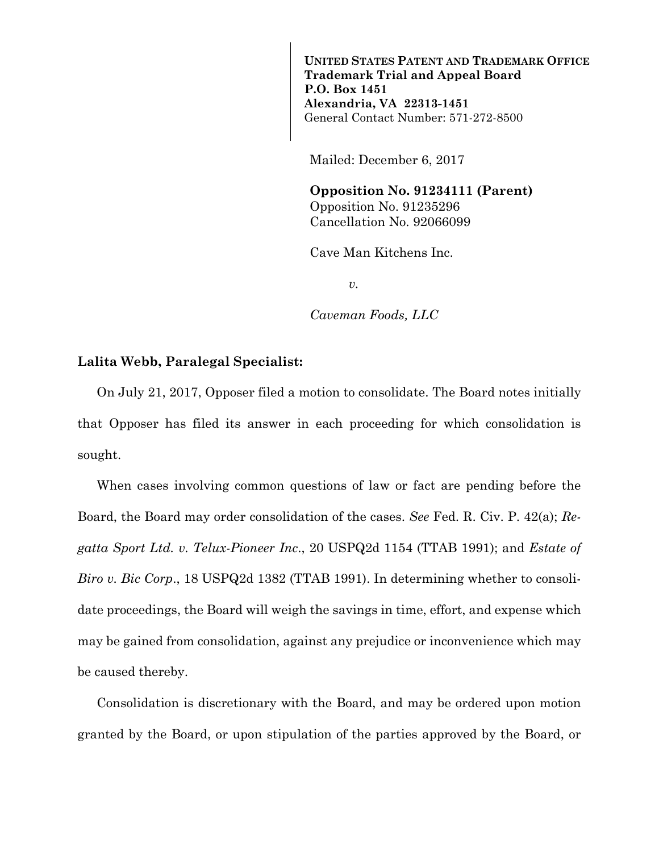**UNITED STATES PATENT AND TRADEMARK OFFICE Trademark Trial and Appeal Board P.O. Box 1451 Alexandria, VA 22313-1451**  General Contact Number: 571-272-8500

Mailed: December 6, 2017

**Opposition No. 91234111 (Parent)**  Opposition No. 91235296 Cancellation No. 92066099

Cave Man Kitchens Inc.

*v.* 

*Caveman Foods, LLC* 

## **Lalita Webb, Paralegal Specialist:**

On July 21, 2017, Opposer filed a motion to consolidate. The Board notes initially that Opposer has filed its answer in each proceeding for which consolidation is sought.

When cases involving common questions of law or fact are pending before the Board, the Board may order consolidation of the cases. *See* Fed. R. Civ. P. 42(a); *Regatta Sport Ltd. v. Telux-Pioneer Inc*., 20 USPQ2d 1154 (TTAB 1991); and *Estate of Biro v. Bic Corp*., 18 USPQ2d 1382 (TTAB 1991). In determining whether to consolidate proceedings, the Board will weigh the savings in time, effort, and expense which may be gained from consolidation, against any prejudice or inconvenience which may be caused thereby.

Consolidation is discretionary with the Board, and may be ordered upon motion granted by the Board, or upon stipulation of the parties approved by the Board, or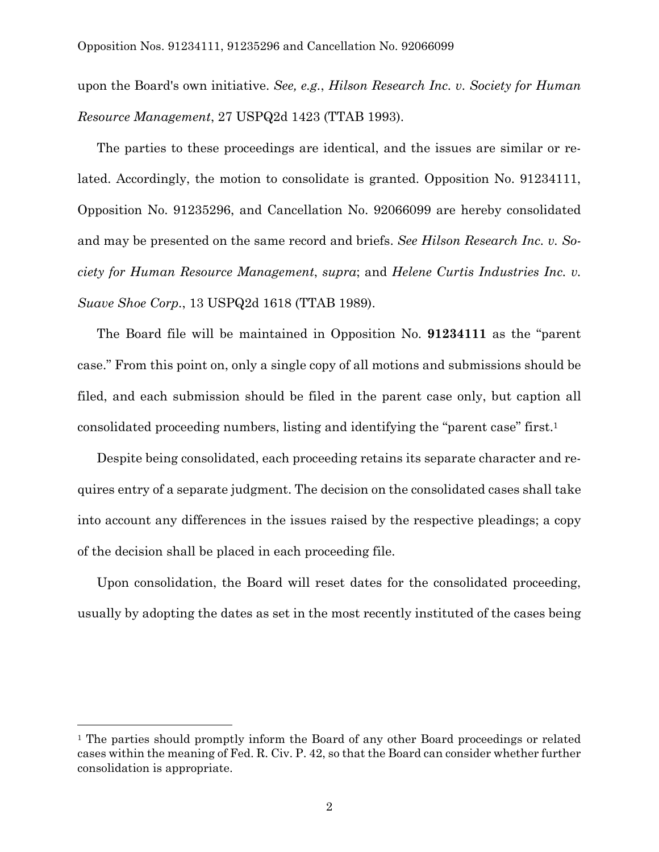upon the Board's own initiative. *See, e.g.*, *Hilson Research Inc. v. Society for Human Resource Management*, 27 USPQ2d 1423 (TTAB 1993).

The parties to these proceedings are identical, and the issues are similar or related. Accordingly, the motion to consolidate is granted. Opposition No. 91234111, Opposition No. 91235296, and Cancellation No. 92066099 are hereby consolidated and may be presented on the same record and briefs. *See Hilson Research Inc. v. Society for Human Resource Management*, *supra*; and *Helene Curtis Industries Inc. v. Suave Shoe Corp.*, 13 USPQ2d 1618 (TTAB 1989).

The Board file will be maintained in Opposition No. **91234111** as the "parent case." From this point on, only a single copy of all motions and submissions should be filed, and each submission should be filed in the parent case only, but caption all consolidated proceeding numbers, listing and identifying the "parent case" first.1

Despite being consolidated, each proceeding retains its separate character and requires entry of a separate judgment. The decision on the consolidated cases shall take into account any differences in the issues raised by the respective pleadings; a copy of the decision shall be placed in each proceeding file.

Upon consolidation, the Board will reset dates for the consolidated proceeding, usually by adopting the dates as set in the most recently instituted of the cases being

i<br>L

<sup>&</sup>lt;sup>1</sup> The parties should promptly inform the Board of any other Board proceedings or related cases within the meaning of Fed. R. Civ. P. 42, so that the Board can consider whether further consolidation is appropriate.